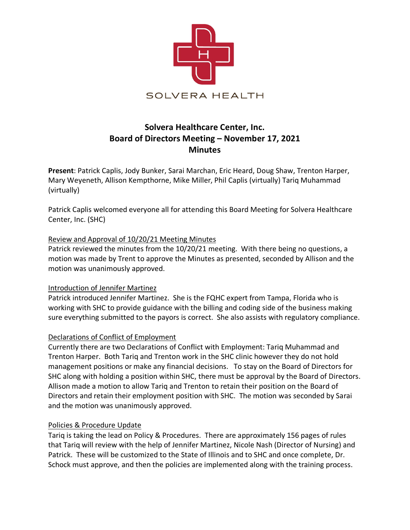

# **Solvera Healthcare Center, Inc. Board of Directors Meeting – November 17, 2021 Minutes**

**Present**: Patrick Caplis, Jody Bunker, Sarai Marchan, Eric Heard, Doug Shaw, Trenton Harper, Mary Weyeneth, Allison Kempthorne, Mike Miller, Phil Caplis (virtually) Tariq Muhammad (virtually)

Patrick Caplis welcomed everyone all for attending this Board Meeting for Solvera Healthcare Center, Inc. (SHC)

## Review and Approval of 10/20/21 Meeting Minutes

Patrick reviewed the minutes from the 10/20/21 meeting. With there being no questions, a motion was made by Trent to approve the Minutes as presented, seconded by Allison and the motion was unanimously approved.

### Introduction of Jennifer Martinez

Patrick introduced Jennifer Martinez. She is the FQHC expert from Tampa, Florida who is working with SHC to provide guidance with the billing and coding side of the business making sure everything submitted to the payors is correct. She also assists with regulatory compliance.

### Declarations of Conflict of Employment

Currently there are two Declarations of Conflict with Employment: Tariq Muhammad and Trenton Harper. Both Tariq and Trenton work in the SHC clinic however they do not hold management positions or make any financial decisions. To stay on the Board of Directors for SHC along with holding a position within SHC, there must be approval by the Board of Directors. Allison made a motion to allow Tariq and Trenton to retain their position on the Board of Directors and retain their employment position with SHC. The motion was seconded by Sarai and the motion was unanimously approved.

### Policies & Procedure Update

Tariq is taking the lead on Policy & Procedures. There are approximately 156 pages of rules that Tariq will review with the help of Jennifer Martinez, Nicole Nash (Director of Nursing) and Patrick. These will be customized to the State of Illinois and to SHC and once complete, Dr. Schock must approve, and then the policies are implemented along with the training process.